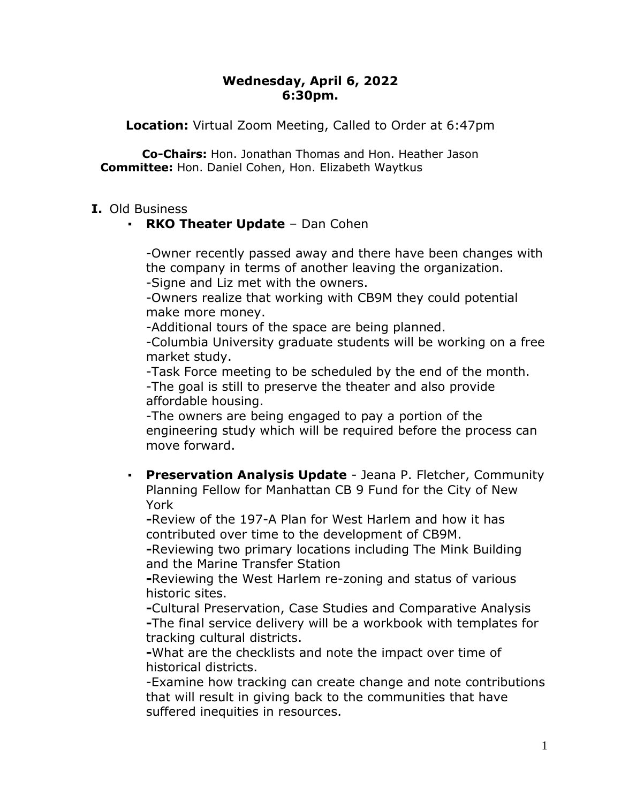## **Wednesday, April 6, 2022 6:30pm.**

**Location:** Virtual Zoom Meeting, Called to Order at 6:47pm

**Co-Chairs:** Hon. Jonathan Thomas and Hon. Heather Jason **Committee:** Hon. Daniel Cohen, Hon. Elizabeth Waytkus

## **I.** Old Business

# ▪ **RKO Theater Update** – Dan Cohen

-Owner recently passed away and there have been changes with the company in terms of another leaving the organization. -Signe and Liz met with the owners.

-Owners realize that working with CB9M they could potential make more money.

-Additional tours of the space are being planned.

-Columbia University graduate students will be working on a free market study.

-Task Force meeting to be scheduled by the end of the month. -The goal is still to preserve the theater and also provide affordable housing.

-The owners are being engaged to pay a portion of the engineering study which will be required before the process can move forward.

▪ **Preservation Analysis Update** - Jeana P. Fletcher, Community Planning Fellow for Manhattan CB 9 Fund for the City of New York

**-**Review of the 197-A Plan for West Harlem and how it has contributed over time to the development of CB9M.

**-**Reviewing two primary locations including The Mink Building and the Marine Transfer Station

**-**Reviewing the West Harlem re-zoning and status of various historic sites.

**-**Cultural Preservation, Case Studies and Comparative Analysis **-**The final service delivery will be a workbook with templates for tracking cultural districts.

**-**What are the checklists and note the impact over time of historical districts.

-Examine how tracking can create change and note contributions that will result in giving back to the communities that have suffered inequities in resources.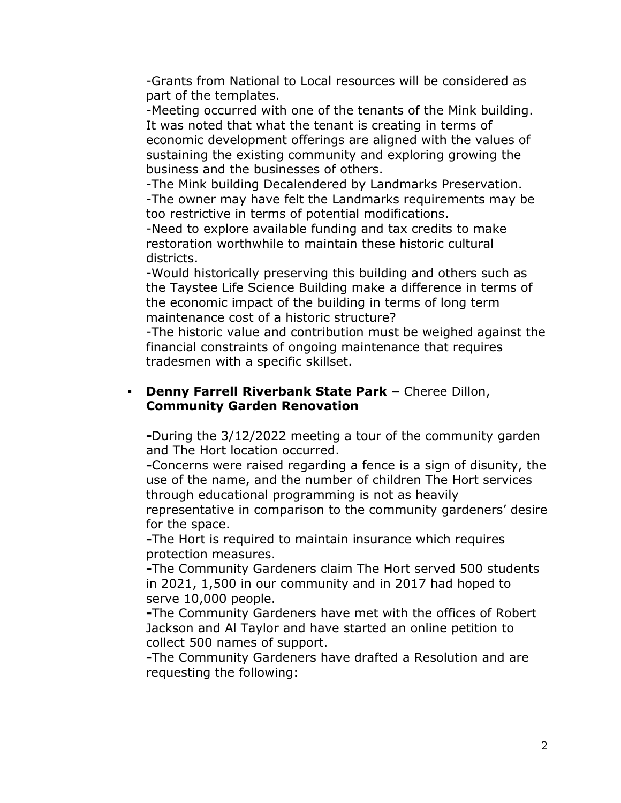-Grants from National to Local resources will be considered as part of the templates.

-Meeting occurred with one of the tenants of the Mink building. It was noted that what the tenant is creating in terms of economic development offerings are aligned with the values of sustaining the existing community and exploring growing the business and the businesses of others.

-The Mink building Decalendered by Landmarks Preservation. -The owner may have felt the Landmarks requirements may be too restrictive in terms of potential modifications.

-Need to explore available funding and tax credits to make restoration worthwhile to maintain these historic cultural districts.

-Would historically preserving this building and others such as the Taystee Life Science Building make a difference in terms of the economic impact of the building in terms of long term maintenance cost of a historic structure?

-The historic value and contribution must be weighed against the financial constraints of ongoing maintenance that requires tradesmen with a specific skillset.

## ▪ **Denny Farrell Riverbank State Park –** Cheree Dillon, **Community Garden Renovation**

**-**During the 3/12/2022 meeting a tour of the community garden and The Hort location occurred.

**-**Concerns were raised regarding a fence is a sign of disunity, the use of the name, and the number of children The Hort services through educational programming is not as heavily

representative in comparison to the community gardeners' desire for the space.

**-**The Hort is required to maintain insurance which requires protection measures.

**-**The Community Gardeners claim The Hort served 500 students in 2021, 1,500 in our community and in 2017 had hoped to serve 10,000 people.

**-**The Community Gardeners have met with the offices of Robert Jackson and Al Taylor and have started an online petition to collect 500 names of support.

**-**The Community Gardeners have drafted a Resolution and are requesting the following: